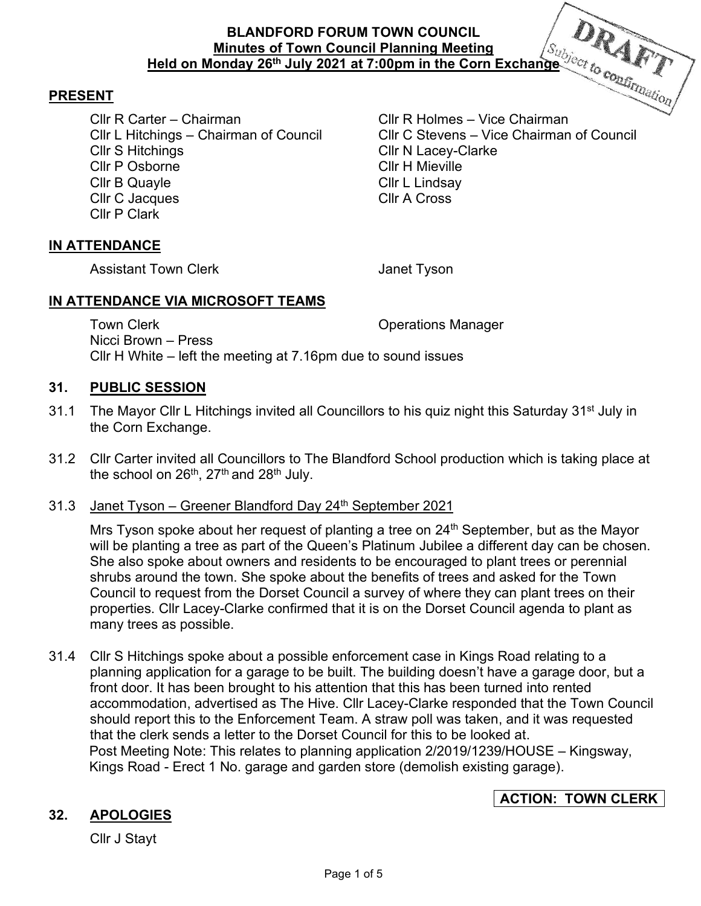### **PRESENT**

Cllr R Carter – Chairman Cllr R Holmes – Vice Chairman Cllr S Hitchings Cllr N Lacey-Clarke Cllr P Osborne Cllr H Mieville Cllr B Quayle Cllr L Lindsay Cllr C Jacques Cllr A Cross Cllr P Clark

Cllr C Stevens – Vice Chairman of Council

#### **IN ATTENDANCE**

Assistant Town Clerk **Internal Cleanual** Janet Tyson

#### **IN ATTENDANCE VIA MICROSOFT TEAMS**

Town Clerk **Town Clear** Clerk Clear Contract Clerk Clear Clear Clear Clear Clear Clear Clear Clear Clear Clear Clear Clear Clear Clear Clear Clear Clear Clear Clear Clear Clear Clear Clear Clear Clear Clear Clear Clear Cle Nicci Brown – Press Cllr H White – left the meeting at 7.16pm due to sound issues

#### **31. PUBLIC SESSION**

- 31.1 The Mayor Cllr L Hitchings invited all Councillors to his quiz night this Saturday 31<sup>st</sup> July in the Corn Exchange.
- 31.2 Cllr Carter invited all Councillors to The Blandford School production which is taking place at the school on 26<sup>th</sup>, 27<sup>th</sup> and 28<sup>th</sup> July.

#### 31.3 Janet Tyson – Greener Blandford Day  $24<sup>th</sup>$  September 2021

Mrs Tyson spoke about her request of planting a tree on  $24<sup>th</sup>$  September, but as the Mayor will be planting a tree as part of the Queen's Platinum Jubilee a different day can be chosen. She also spoke about owners and residents to be encouraged to plant trees or perennial shrubs around the town. She spoke about the benefits of trees and asked for the Town Council to request from the Dorset Council a survey of where they can plant trees on their properties. Cllr Lacey-Clarke confirmed that it is on the Dorset Council agenda to plant as many trees as possible.

31.4 Cllr S Hitchings spoke about a possible enforcement case in Kings Road relating to a planning application for a garage to be built. The building doesn't have a garage door, but a front door. It has been brought to his attention that this has been turned into rented accommodation, advertised as The Hive. Cllr Lacey-Clarke responded that the Town Council should report this to the Enforcement Team. A straw poll was taken, and it was requested that the clerk sends a letter to the Dorset Council for this to be looked at. Post Meeting Note: This relates to planning application 2/2019/1239/HOUSE – Kingsway, Kings Road - Erect 1 No. garage and garden store (demolish existing garage).

# **ACTION: TOWN CLERK**

## **32. APOLOGIES**

Cllr J Stayt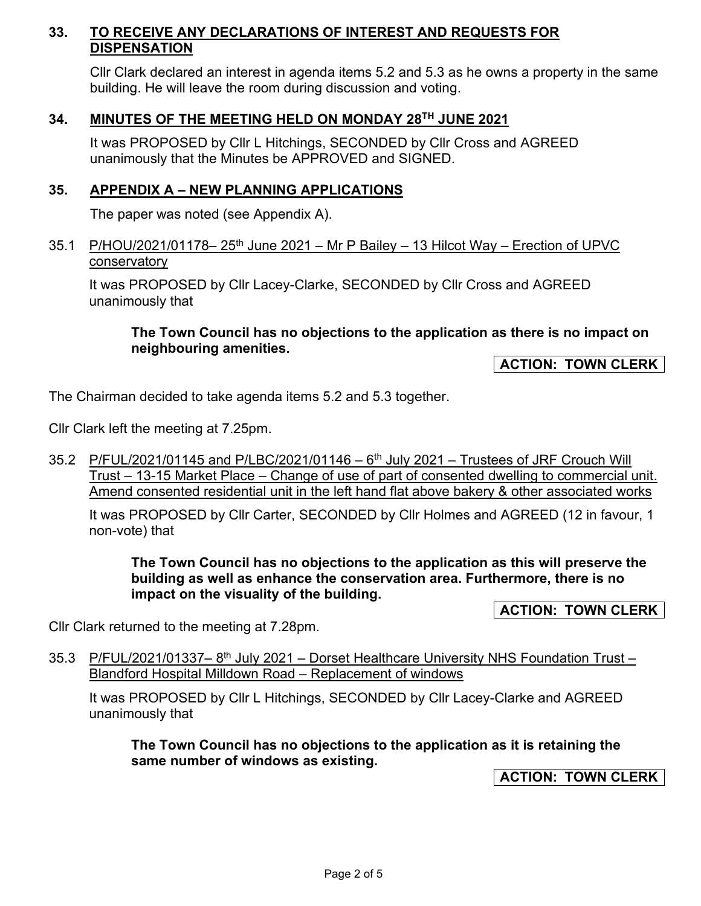## **33. TO RECEIVE ANY DECLARATIONS OF INTEREST AND REQUESTS FOR DISPENSATION**

Cllr Clark declared an interest in agenda items 5.2 and 5.3 as he owns a property in the same building. He will leave the room during discussion and voting.

## **34. MINUTES OF THE MEETING HELD ON MONDAY 28TH JUNE 2021**

It was PROPOSED by Cllr L Hitchings, SECONDED by Cllr Cross and AGREED unanimously that the Minutes be APPROVED and SIGNED.

### **35. APPENDIX A – NEW PLANNING APPLICATIONS**

The paper was noted (see Appendix A).

35.1 P/HOU/2021/01178-  $25<sup>th</sup>$  June 2021 – Mr P Bailey – 13 Hilcot Way – Erection of UPVC conservatory

It was PROPOSED by Cllr Lacey-Clarke, SECONDED by Cllr Cross and AGREED unanimously that

### **The Town Council has no objections to the application as there is no impact on neighbouring amenities.**

**ACTION: TOWN CLERK** 

The Chairman decided to take agenda items 5.2 and 5.3 together.

Cllr Clark left the meeting at 7.25pm.

35.2 P/FUL/2021/01145 and P/LBC/2021/01146  $-6<sup>th</sup>$  July 2021  $-$  Trustees of JRF Crouch Will Trust – 13-15 Market Place – Change of use of part of consented dwelling to commercial unit. Amend consented residential unit in the left hand flat above bakery & other associated works

It was PROPOSED by Cllr Carter, SECONDED by Cllr Holmes and AGREED (12 in favour, 1 non-vote) that

**The Town Council has no objections to the application as this will preserve the building as well as enhance the conservation area. Furthermore, there is no impact on the visuality of the building.** 

**ACTION: TOWN CLERK** 

Cllr Clark returned to the meeting at 7.28pm.

35.3 P/FUL/2021/01337–8<sup>th</sup> July 2021 – Dorset Healthcare University NHS Foundation Trust – Blandford Hospital Milldown Road – Replacement of windows

It was PROPOSED by Cllr L Hitchings, SECONDED by Cllr Lacey-Clarke and AGREED unanimously that

**The Town Council has no objections to the application as it is retaining the same number of windows as existing.** 

**ACTION: TOWN CLERK**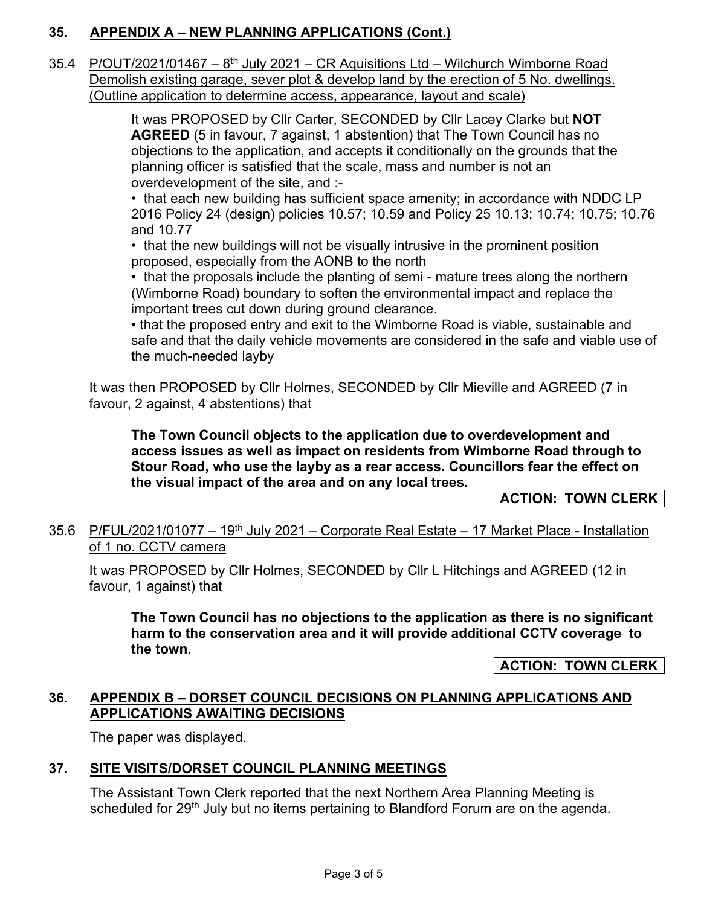# **35. APPENDIX A – NEW PLANNING APPLICATIONS (Cont.)**

35.4 P/OUT/2021/01467 –  $8<sup>th</sup>$  July 2021 – CR Aquisitions Ltd – Wilchurch Wimborne Road Demolish existing garage, sever plot & develop land by the erection of 5 No. dwellings. (Outline application to determine access, appearance, layout and scale)

> It was PROPOSED by Cllr Carter, SECONDED by Cllr Lacey Clarke but **NOT AGREED** (5 in favour, 7 against, 1 abstention) that The Town Council has no objections to the application, and accepts it conditionally on the grounds that the planning officer is satisfied that the scale, mass and number is not an overdevelopment of the site, and :-

• that each new building has sufficient space amenity; in accordance with NDDC LP 2016 Policy 24 (design) policies 10.57; 10.59 and Policy 25 10.13; 10.74; 10.75; 10.76 and 10.77

• that the new buildings will not be visually intrusive in the prominent position proposed, especially from the AONB to the north

• that the proposals include the planting of semi - mature trees along the northern (Wimborne Road) boundary to soften the environmental impact and replace the important trees cut down during ground clearance.

• that the proposed entry and exit to the Wimborne Road is viable, sustainable and safe and that the daily vehicle movements are considered in the safe and viable use of the much-needed layby

It was then PROPOSED by Cllr Holmes, SECONDED by Cllr Mieville and AGREED (7 in favour, 2 against, 4 abstentions) that

**The Town Council objects to the application due to overdevelopment and access issues as well as impact on residents from Wimborne Road through to Stour Road, who use the layby as a rear access. Councillors fear the effect on the visual impact of the area and on any local trees.** 

**ACTION: TOWN CLERK** 

35.6 P/FUL/2021/01077 - 19<sup>th</sup> July 2021 - Corporate Real Estate - 17 Market Place - Installation of 1 no. CCTV camera

It was PROPOSED by Cllr Holmes, SECONDED by Cllr L Hitchings and AGREED (12 in favour, 1 against) that

**The Town Council has no objections to the application as there is no significant harm to the conservation area and it will provide additional CCTV coverage to the town.** 

**ACTION: TOWN CLERK** 

### **36. APPENDIX B – DORSET COUNCIL DECISIONS ON PLANNING APPLICATIONS AND APPLICATIONS AWAITING DECISIONS**

The paper was displayed.

## **37. SITE VISITS/DORSET COUNCIL PLANNING MEETINGS**

The Assistant Town Clerk reported that the next Northern Area Planning Meeting is scheduled for 29<sup>th</sup> July but no items pertaining to Blandford Forum are on the agenda.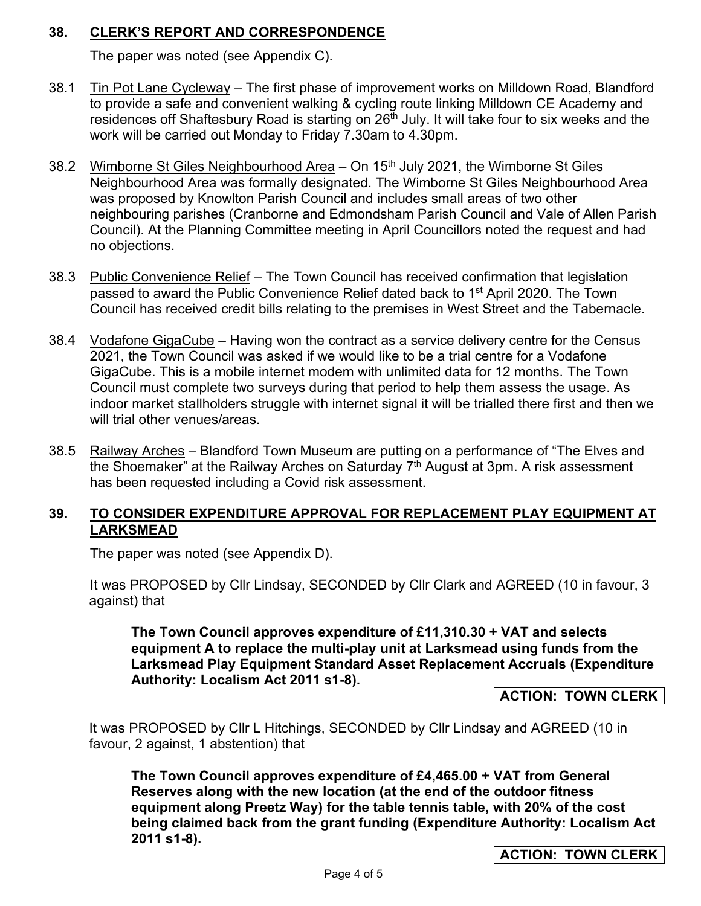## **38. CLERK'S REPORT AND CORRESPONDENCE**

The paper was noted (see Appendix C).

- 38.1 Tin Pot Lane Cycleway The first phase of improvement works on Milldown Road, Blandford to provide a safe and convenient walking & cycling route linking Milldown CE Academy and residences off Shaftesbury Road is starting on 26<sup>th</sup> July. It will take four to six weeks and the work will be carried out Monday to Friday 7.30am to 4.30pm.
- 38.2 Wimborne St Giles Neighbourhood Area On 15<sup>th</sup> July 2021, the Wimborne St Giles Neighbourhood Area was formally designated. The Wimborne St Giles Neighbourhood Area was proposed by Knowlton Parish Council and includes small areas of two other neighbouring parishes (Cranborne and Edmondsham Parish Council and Vale of Allen Parish Council). At the Planning Committee meeting in April Councillors noted the request and had no objections.
- 38.3 Public Convenience Relief The Town Council has received confirmation that legislation passed to award the Public Convenience Relief dated back to 1<sup>st</sup> April 2020. The Town Council has received credit bills relating to the premises in West Street and the Tabernacle.
- 38.4 Vodafone GigaCube Having won the contract as a service delivery centre for the Census 2021, the Town Council was asked if we would like to be a trial centre for a Vodafone GigaCube. This is a mobile internet modem with unlimited data for 12 months. The Town Council must complete two surveys during that period to help them assess the usage. As indoor market stallholders struggle with internet signal it will be trialled there first and then we will trial other venues/areas.
- 38.5 Railway Arches Blandford Town Museum are putting on a performance of "The Elves and the Shoemaker" at the Railway Arches on Saturday  $7<sup>th</sup>$  August at 3pm. A risk assessment has been requested including a Covid risk assessment.

## **39. TO CONSIDER EXPENDITURE APPROVAL FOR REPLACEMENT PLAY EQUIPMENT AT LARKSMEAD**

The paper was noted (see Appendix D).

It was PROPOSED by Cllr Lindsay, SECONDED by Cllr Clark and AGREED (10 in favour, 3 against) that

**The Town Council approves expenditure of £11,310.30 + VAT and selects equipment A to replace the multi-play unit at Larksmead using funds from the Larksmead Play Equipment Standard Asset Replacement Accruals (Expenditure Authority: Localism Act 2011 s1-8).** 

**ACTION: TOWN CLERK** 

It was PROPOSED by Cllr L Hitchings, SECONDED by Cllr Lindsay and AGREED (10 in favour, 2 against, 1 abstention) that

**The Town Council approves expenditure of £4,465.00 + VAT from General Reserves along with the new location (at the end of the outdoor fitness equipment along Preetz Way) for the table tennis table, with 20% of the cost being claimed back from the grant funding (Expenditure Authority: Localism Act 2011 s1-8).**